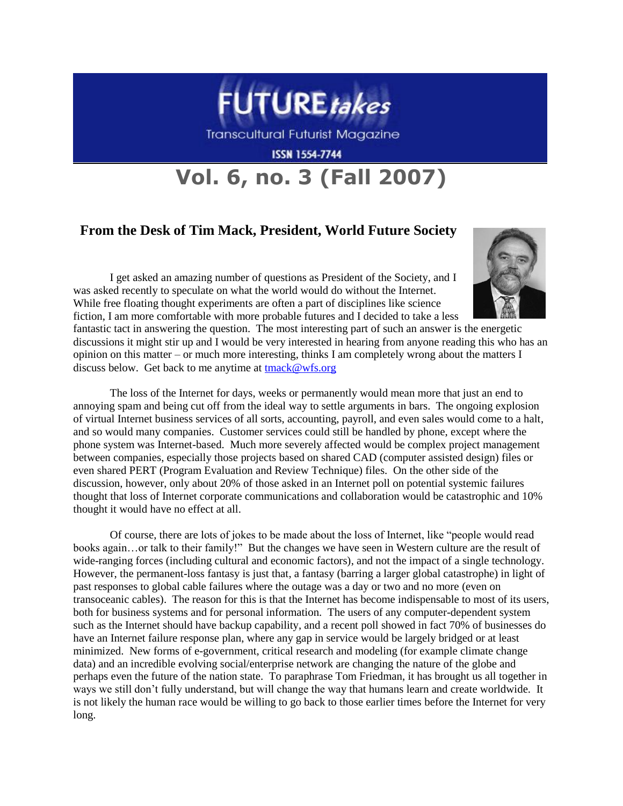

Transcultural Futurist Magazine

**ISSN 1554-7744** 

## **Vol. 6, no. 3 (Fall 2007)**

## **From the Desk of Tim Mack, President, World Future Society**

I get asked an amazing number of questions as President of the Society, and I was asked recently to speculate on what the world would do without the Internet. While free floating thought experiments are often a part of disciplines like science fiction, I am more comfortable with more probable futures and I decided to take a less



fantastic tact in answering the question. The most interesting part of such an answer is the energetic discussions it might stir up and I would be very interested in hearing from anyone reading this who has an opinion on this matter – or much more interesting, thinks I am completely wrong about the matters I discuss below. Get back to me anytime at [tmack@wfs.org](mailto:tmack@wfs.org)

The loss of the Internet for days, weeks or permanently would mean more that just an end to annoying spam and being cut off from the ideal way to settle arguments in bars. The ongoing explosion of virtual Internet business services of all sorts, accounting, payroll, and even sales would come to a halt, and so would many companies. Customer services could still be handled by phone, except where the phone system was Internet-based. Much more severely affected would be complex project management between companies, especially those projects based on shared CAD (computer assisted design) files or even shared PERT (Program Evaluation and Review Technique) files. On the other side of the discussion, however, only about 20% of those asked in an Internet poll on potential systemic failures thought that loss of Internet corporate communications and collaboration would be catastrophic and 10% thought it would have no effect at all.

Of course, there are lots of jokes to be made about the loss of Internet, like "people would read books again…or talk to their family!" But the changes we have seen in Western culture are the result of wide-ranging forces (including cultural and economic factors), and not the impact of a single technology. However, the permanent-loss fantasy is just that, a fantasy (barring a larger global catastrophe) in light of past responses to global cable failures where the outage was a day or two and no more (even on transoceanic cables). The reason for this is that the Internet has become indispensable to most of its users, both for business systems and for personal information. The users of any computer-dependent system such as the Internet should have backup capability, and a recent poll showed in fact 70% of businesses do have an Internet failure response plan, where any gap in service would be largely bridged or at least minimized. New forms of e-government, critical research and modeling (for example climate change data) and an incredible evolving social/enterprise network are changing the nature of the globe and perhaps even the future of the nation state. To paraphrase Tom Friedman, it has brought us all together in ways we still don"t fully understand, but will change the way that humans learn and create worldwide. It is not likely the human race would be willing to go back to those earlier times before the Internet for very long.